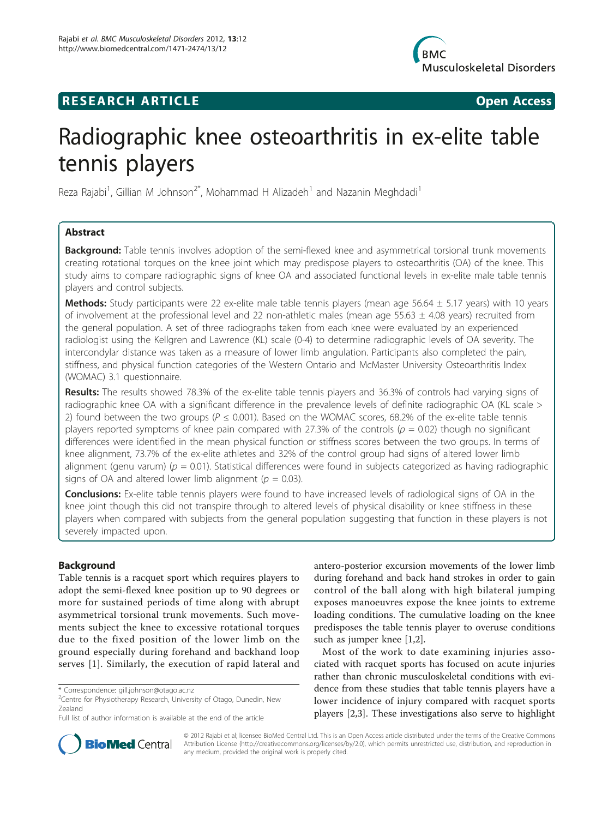

## **RESEARCH ARTICLE Example 2018 Open Access**



# Radiographic knee osteoarthritis in ex-elite table tennis players

Reza Rajabi<sup>1</sup>, Gillian M Johnson<sup>2\*</sup>, Mohammad H Alizadeh<sup>1</sup> and Nazanin Meghdadi<sup>1</sup>

## Abstract

Background: Table tennis involves adoption of the semi-flexed knee and asymmetrical torsional trunk movements creating rotational torques on the knee joint which may predispose players to osteoarthritis (OA) of the knee. This study aims to compare radiographic signs of knee OA and associated functional levels in ex-elite male table tennis players and control subjects.

Methods: Study participants were 22 ex-elite male table tennis players (mean age  $56.64 \pm 5.17$  years) with 10 years of involvement at the professional level and 22 non-athletic males (mean age  $55.63 \pm 4.08$  years) recruited from the general population. A set of three radiographs taken from each knee were evaluated by an experienced radiologist using the Kellgren and Lawrence (KL) scale (0-4) to determine radiographic levels of OA severity. The intercondylar distance was taken as a measure of lower limb angulation. Participants also completed the pain, stiffness, and physical function categories of the Western Ontario and McMaster University Osteoarthritis Index (WOMAC) 3.1 questionnaire.

Results: The results showed 78.3% of the ex-elite table tennis players and 36.3% of controls had varying signs of radiographic knee OA with a significant difference in the prevalence levels of definite radiographic OA (KL scale > 2) found between the two groups ( $P \le 0.001$ ). Based on the WOMAC scores, 68.2% of the ex-elite table tennis players reported symptoms of knee pain compared with 27.3% of the controls ( $p = 0.02$ ) though no significant differences were identified in the mean physical function or stiffness scores between the two groups. In terms of knee alignment, 73.7% of the ex-elite athletes and 32% of the control group had signs of altered lower limb alignment (genu varum) ( $p = 0.01$ ). Statistical differences were found in subjects categorized as having radiographic signs of OA and altered lower limb alignment ( $p = 0.03$ ).

**Conclusions:** Ex-elite table tennis players were found to have increased levels of radiological signs of OA in the knee joint though this did not transpire through to altered levels of physical disability or knee stiffness in these players when compared with subjects from the general population suggesting that function in these players is not severely impacted upon.

## Background

Table tennis is a racquet sport which requires players to adopt the semi-flexed knee position up to 90 degrees or more for sustained periods of time along with abrupt asymmetrical torsional trunk movements. Such movements subject the knee to excessive rotational torques due to the fixed position of the lower limb on the ground especially during forehand and backhand loop serves [[1](#page-4-0)]. Similarly, the execution of rapid lateral and

antero-posterior excursion movements of the lower limb during forehand and back hand strokes in order to gain control of the ball along with high bilateral jumping exposes manoeuvres expose the knee joints to extreme loading conditions. The cumulative loading on the knee predisposes the table tennis player to overuse conditions such as jumper knee [[1,2\]](#page-4-0).

Most of the work to date examining injuries associated with racquet sports has focused on acute injuries rather than chronic musculoskeletal conditions with evidence from these studies that table tennis players have a lower incidence of injury compared with racquet sports players [[2,3\]](#page-4-0). These investigations also serve to highlight



© 2012 Rajabi et al; licensee BioMed Central Ltd. This is an Open Access article distributed under the terms of the Creative Commons Attribution License [\(http://creativecommons.org/licenses/by/2.0](http://creativecommons.org/licenses/by/2.0)), which permits unrestricted use, distribution, and reproduction in any medium, provided the original work is properly cited.

<sup>\*</sup> Correspondence: [gill.johnson@otago.ac.nz](mailto:gill.johnson@otago.ac.nz)

<sup>&</sup>lt;sup>2</sup> Centre for Physiotherapy Research, University of Otago, Dunedin, New Zealand

Full list of author information is available at the end of the article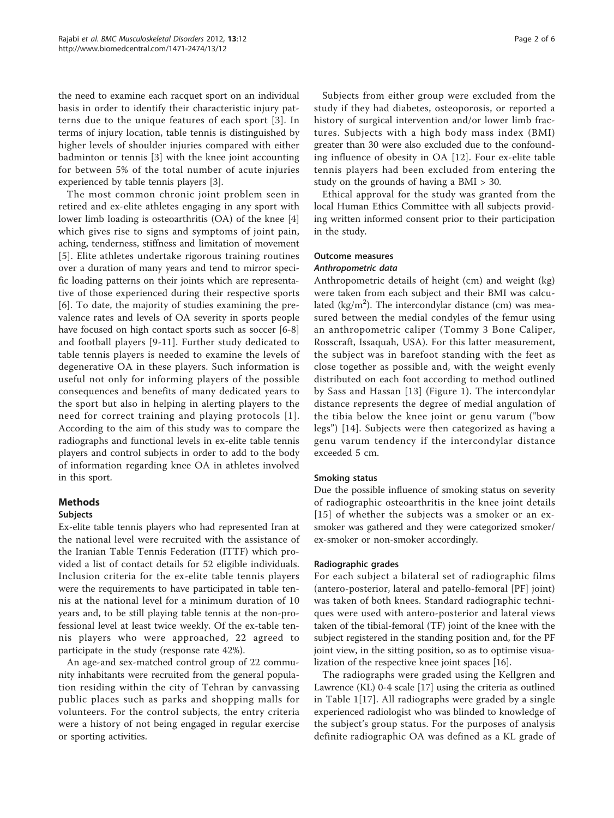the need to examine each racquet sport on an individual basis in order to identify their characteristic injury patterns due to the unique features of each sport [[3](#page-4-0)]. In terms of injury location, table tennis is distinguished by higher levels of shoulder injuries compared with either badminton or tennis [[3\]](#page-4-0) with the knee joint accounting for between 5% of the total number of acute injuries experienced by table tennis players [[3](#page-4-0)].

The most common chronic joint problem seen in retired and ex-elite athletes engaging in any sport with lower limb loading is osteoarthritis (OA) of the knee [[4](#page-4-0)] which gives rise to signs and symptoms of joint pain, aching, tenderness, stiffness and limitation of movement [[5](#page-4-0)]. Elite athletes undertake rigorous training routines over a duration of many years and tend to mirror specific loading patterns on their joints which are representative of those experienced during their respective sports [[6\]](#page-4-0). To date, the majority of studies examining the prevalence rates and levels of OA severity in sports people have focused on high contact sports such as soccer [\[6-8](#page-4-0)] and football players [[9](#page-4-0)-[11](#page-4-0)]. Further study dedicated to table tennis players is needed to examine the levels of degenerative OA in these players. Such information is useful not only for informing players of the possible consequences and benefits of many dedicated years to the sport but also in helping in alerting players to the need for correct training and playing protocols [[1\]](#page-4-0). According to the aim of this study was to compare the radiographs and functional levels in ex-elite table tennis players and control subjects in order to add to the body of information regarding knee OA in athletes involved in this sport.

### Methods

### Subjects

Ex-elite table tennis players who had represented Iran at the national level were recruited with the assistance of the Iranian Table Tennis Federation (ITTF) which provided a list of contact details for 52 eligible individuals. Inclusion criteria for the ex-elite table tennis players were the requirements to have participated in table tennis at the national level for a minimum duration of 10 years and, to be still playing table tennis at the non-professional level at least twice weekly. Of the ex-table tennis players who were approached, 22 agreed to participate in the study (response rate 42%).

An age-and sex-matched control group of 22 community inhabitants were recruited from the general population residing within the city of Tehran by canvassing public places such as parks and shopping malls for volunteers. For the control subjects, the entry criteria were a history of not being engaged in regular exercise or sporting activities.

Subjects from either group were excluded from the study if they had diabetes, osteoporosis, or reported a history of surgical intervention and/or lower limb fractures. Subjects with a high body mass index (BMI) greater than 30 were also excluded due to the confounding influence of obesity in OA [\[12\]](#page-4-0). Four ex-elite table tennis players had been excluded from entering the study on the grounds of having a BMI > 30.

Ethical approval for the study was granted from the local Human Ethics Committee with all subjects providing written informed consent prior to their participation in the study.

#### Outcome measures

#### Anthropometric data

Anthropometric details of height (cm) and weight (kg) were taken from each subject and their BMI was calculated ( $\text{kg/m}^2$ ). The intercondylar distance (cm) was measured between the medial condyles of the femur using an anthropometric caliper (Tommy 3 Bone Caliper, Rosscraft, Issaquah, USA). For this latter measurement, the subject was in barefoot standing with the feet as close together as possible and, with the weight evenly distributed on each foot according to method outlined by Sass and Hassan [[13](#page-4-0)] (Figure [1](#page-2-0)). The intercondylar distance represents the degree of medial angulation of the tibia below the knee joint or genu varum ("bow legs") [[14](#page-4-0)]. Subjects were then categorized as having a genu varum tendency if the intercondylar distance exceeded 5 cm.

#### Smoking status

Due the possible influence of smoking status on severity of radiographic osteoarthritis in the knee joint details [[15\]](#page-4-0) of whether the subjects was a smoker or an exsmoker was gathered and they were categorized smoker/ ex-smoker or non-smoker accordingly.

#### Radiographic grades

For each subject a bilateral set of radiographic films (antero-posterior, lateral and patello-femoral [PF] joint) was taken of both knees. Standard radiographic techniques were used with antero-posterior and lateral views taken of the tibial-femoral (TF) joint of the knee with the subject registered in the standing position and, for the PF joint view, in the sitting position, so as to optimise visualization of the respective knee joint spaces [\[16](#page-4-0)].

The radiographs were graded using the Kellgren and Lawrence (KL) 0-4 scale [\[17\]](#page-4-0) using the criteria as outlined in Table [1](#page-2-0)[\[17\]](#page-4-0). All radiographs were graded by a single experienced radiologist who was blinded to knowledge of the subject's group status. For the purposes of analysis definite radiographic OA was defined as a KL grade of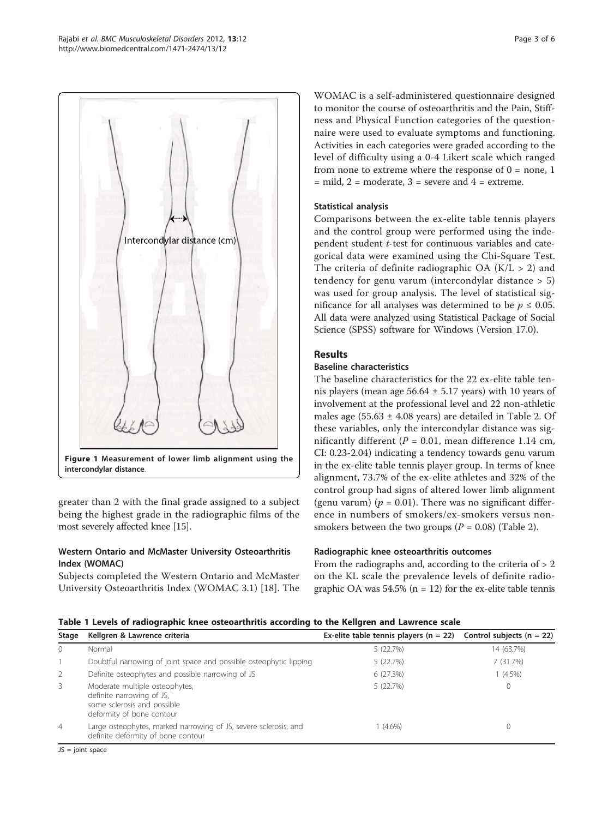<span id="page-2-0"></span>

greater than 2 with the final grade assigned to a subject being the highest grade in the radiographic films of the most severely affected knee [\[15\]](#page-4-0).

## Western Ontario and McMaster University Osteoarthritis Index (WOMAC)

Subjects completed the Western Ontario and McMaster University Osteoarthritis Index (WOMAC 3.1) [[18\]](#page-4-0). The

WOMAC is a self-administered questionnaire designed to monitor the course of osteoarthritis and the Pain, Stiffness and Physical Function categories of the questionnaire were used to evaluate symptoms and functioning. Activities in each categories were graded according to the level of difficulty using a 0-4 Likert scale which ranged from none to extreme where the response of  $0 =$  none, 1  $=$  mild,  $2 =$  moderate,  $3 =$  severe and  $4 =$  extreme.

## Statistical analysis

Comparisons between the ex-elite table tennis players and the control group were performed using the independent student t-test for continuous variables and categorical data were examined using the Chi-Square Test. The criteria of definite radiographic OA  $(K/L > 2)$  and tendency for genu varum (intercondylar distance > 5) was used for group analysis. The level of statistical significance for all analyses was determined to be  $p \leq 0.05$ . All data were analyzed using Statistical Package of Social Science (SPSS) software for Windows (Version 17.0).

## Results

## Baseline characteristics

The baseline characteristics for the 22 ex-elite table tennis players (mean age  $56.64 \pm 5.17$  years) with 10 years of involvement at the professional level and 22 non-athletic males age  $(55.63 \pm 4.08 \text{ years})$  are detailed in Table [2](#page-3-0). Of these variables, only the intercondylar distance was significantly different ( $P = 0.01$ , mean difference 1.14 cm, CI: 0.23-2.04) indicating a tendency towards genu varum in the ex-elite table tennis player group. In terms of knee alignment, 73.7% of the ex-elite athletes and 32% of the control group had signs of altered lower limb alignment (genu varum) ( $p = 0.01$ ). There was no significant difference in numbers of smokers/ex-smokers versus nonsmokers between the two groups ( $P = 0.08$ ) (Table [2](#page-3-0)).

## Radiographic knee osteoarthritis outcomes

From the radiographs and, according to the criteria of  $> 2$ on the KL scale the prevalence levels of definite radiographic OA was  $54.5\%$  (n = 12) for the ex-elite table tennis

### Table 1 Levels of radiographic knee osteoarthritis according to the Kellgren and Lawrence scale

| Stage          | Kellgren & Lawrence criteria                                                                                            | Ex-elite table tennis players ( $n = 22$ ) Control subjects ( $n = 22$ ) |            |
|----------------|-------------------------------------------------------------------------------------------------------------------------|--------------------------------------------------------------------------|------------|
| $\mathbf{0}$   | Normal                                                                                                                  | 5(22.7%)                                                                 | 14 (63.7%) |
|                | Doubtful narrowing of joint space and possible osteophytic lipping                                                      | 5(22.7%)                                                                 | 7(31.7%)   |
| 2              | Definite osteophytes and possible narrowing of JS                                                                       | 6(27.3%)                                                                 | $1(4.5\%)$ |
| 3              | Moderate multiple osteophytes,<br>definite narrowing of JS,<br>some sclerosis and possible<br>deformity of bone contour | 5(22.7%)                                                                 |            |
| $\overline{4}$ | Large osteophytes, marked narrowing of JS, severe sclerosis, and<br>definite deformity of bone contour                  | 1 (4.6%)                                                                 |            |

JS = joint space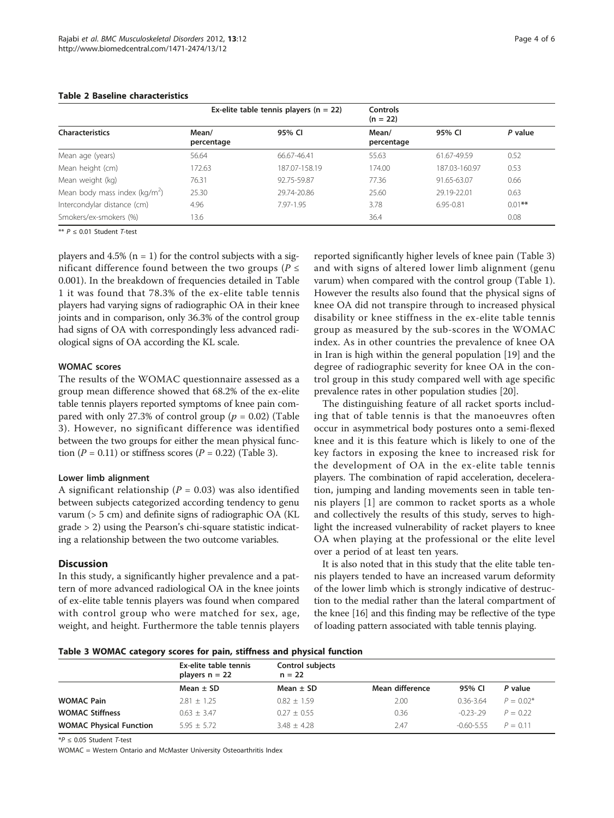|                                          | Ex-elite table tennis players ( $n = 22$ ) |               | <b>Controls</b><br>$(n = 22)$ |               |           |
|------------------------------------------|--------------------------------------------|---------------|-------------------------------|---------------|-----------|
| <b>Characteristics</b>                   | Mean/<br>percentage                        | 95% CI        | Mean/<br>percentage           | 95% CI        | P value   |
| Mean age (years)                         | 56.64                                      | 66.67-46.41   | 55.63                         | 61.67-49.59   | 0.52      |
| Mean height (cm)                         | 172.63                                     | 187.07-158.19 | 174.00                        | 187.03-160.97 | 0.53      |
| Mean weight (kg)                         | 76.31                                      | 92.75-59.87   | 77.36                         | 91.65-63.07   | 0.66      |
| Mean body mass index ( $\text{kg/m}^2$ ) | 25.30                                      | 29.74-20.86   | 25.60                         | 29.19-22.01   | 0.63      |
| Intercondylar distance (cm)              | 4.96                                       | 7.97-1.95     | 3.78                          | $6.95 - 0.81$ | $0.01$ ** |
| Smokers/ex-smokers (%)                   | 13.6                                       |               | 36.4                          |               | 0.08      |
|                                          |                                            |               |                               |               |           |

#### <span id="page-3-0"></span>Table 2 Baseline characteristics

 $** P < 0.01$  Student T-test

players and  $4.5\%$  (n = 1) for the control subjects with a significant difference found between the two groups ( $P \leq$ 0.001). In the breakdown of frequencies detailed in Table [1](#page-2-0) it was found that 78.3% of the ex-elite table tennis players had varying signs of radiographic OA in their knee joints and in comparison, only 36.3% of the control group had signs of OA with correspondingly less advanced radiological signs of OA according the KL scale.

#### WOMAC scores

The results of the WOMAC questionnaire assessed as a group mean difference showed that 68.2% of the ex-elite table tennis players reported symptoms of knee pain compared with only 27.3% of control group ( $p = 0.02$ ) (Table 3). However, no significant difference was identified between the two groups for either the mean physical function ( $P = 0.11$ ) or stiffness scores ( $P = 0.22$ ) (Table 3).

#### Lower limb alignment

A significant relationship ( $P = 0.03$ ) was also identified between subjects categorized according tendency to genu varum (> 5 cm) and definite signs of radiographic OA (KL grade > 2) using the Pearson's chi-square statistic indicating a relationship between the two outcome variables.

#### **Discussion**

In this study, a significantly higher prevalence and a pattern of more advanced radiological OA in the knee joints of ex-elite table tennis players was found when compared with control group who were matched for sex, age, weight, and height. Furthermore the table tennis players

reported significantly higher levels of knee pain (Table 3) and with signs of altered lower limb alignment (genu varum) when compared with the control group (Table [1](#page-2-0)). However the results also found that the physical signs of knee OA did not transpire through to increased physical disability or knee stiffness in the ex-elite table tennis group as measured by the sub-scores in the WOMAC index. As in other countries the prevalence of knee OA in Iran is high within the general population [\[19\]](#page-5-0) and the degree of radiographic severity for knee OA in the control group in this study compared well with age specific prevalence rates in other population studies [\[20\]](#page-5-0).

The distinguishing feature of all racket sports including that of table tennis is that the manoeuvres often occur in asymmetrical body postures onto a semi-flexed knee and it is this feature which is likely to one of the key factors in exposing the knee to increased risk for the development of OA in the ex-elite table tennis players. The combination of rapid acceleration, deceleration, jumping and landing movements seen in table tennis players [[1](#page-4-0)] are common to racket sports as a whole and collectively the results of this study, serves to highlight the increased vulnerability of racket players to knee OA when playing at the professional or the elite level over a period of at least ten years.

It is also noted that in this study that the elite table tennis players tended to have an increased varum deformity of the lower limb which is strongly indicative of destruction to the medial rather than the lateral compartment of the knee [[16](#page-4-0)] and this finding may be reflective of the type of loading pattern associated with table tennis playing.

Table 3 WOMAC category scores for pain, stiffness and physical function

|                                | Ex-elite table tennis<br>players $n = 22$ | Control subjects<br>$n = 22$ |                 |                |             |
|--------------------------------|-------------------------------------------|------------------------------|-----------------|----------------|-------------|
|                                | Mean $\pm$ SD                             | Mean $\pm$ SD                | Mean difference | 95% CI         | P value     |
| <b>WOMAC Pain</b>              | $2.81 + 1.25$                             | $0.82 \pm 1.59$              | 2.00            | $0.36 - 3.64$  | $P = 0.02*$ |
| <b>WOMAC Stiffness</b>         | $0.63 + 3.47$                             | $0.27 + 0.55$                | 0.36            | $-0.23 - 29$   | $P = 0.22$  |
| <b>WOMAC Physical Function</b> | $5.95 + 5.72$                             | $3.48 \pm 4.28$              | 2.47            | $-0.60 - 5.55$ | $P = 0.11$  |

 $*P \leq 0.05$  Student T-test

WOMAC = Western Ontario and McMaster University Osteoarthritis Index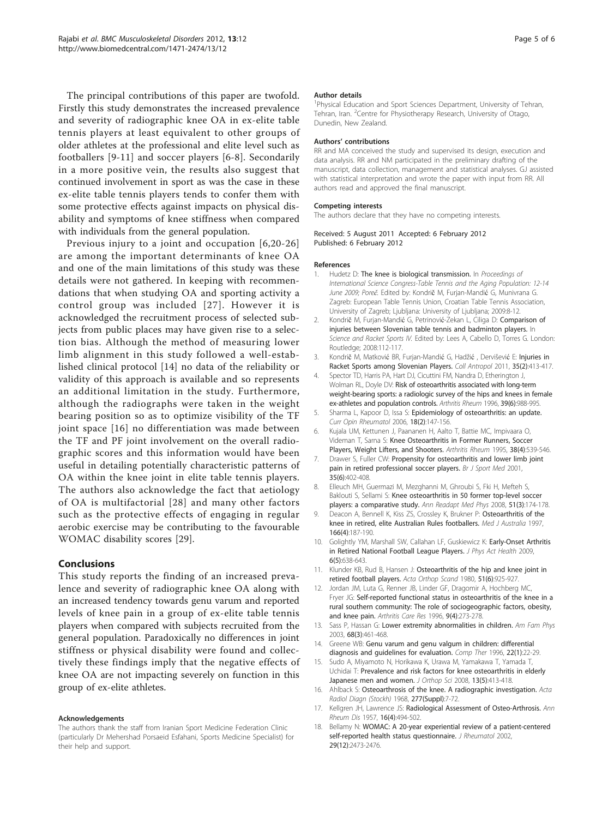<span id="page-4-0"></span>The principal contributions of this paper are twofold. Firstly this study demonstrates the increased prevalence and severity of radiographic knee OA in ex-elite table tennis players at least equivalent to other groups of older athletes at the professional and elite level such as footballers [9-11] and soccer players [6-8]. Secondarily in a more positive vein, the results also suggest that continued involvement in sport as was the case in these ex-elite table tennis players tends to confer them with some protective effects against impacts on physical disability and symptoms of knee stiffness when compared with individuals from the general population.

Previous injury to a joint and occupation [6,[20](#page-5-0)-[26](#page-5-0)] are among the important determinants of knee OA and one of the main limitations of this study was these details were not gathered. In keeping with recommendations that when studying OA and sporting activity a control group was included [[27\]](#page-5-0). However it is acknowledged the recruitment process of selected subjects from public places may have given rise to a selection bias. Although the method of measuring lower limb alignment in this study followed a well-established clinical protocol [14] no data of the reliability or validity of this approach is available and so represents an additional limitation in the study. Furthermore, although the radiographs were taken in the weight bearing position so as to optimize visibility of the TF joint space [16] no differentiation was made between the TF and PF joint involvement on the overall radiographic scores and this information would have been useful in detailing potentially characteristic patterns of OA within the knee joint in elite table tennis players. The authors also acknowledge the fact that aetiology of OA is multifactorial [[28](#page-5-0)] and many other factors such as the protective effects of engaging in regular aerobic exercise may be contributing to the favourable WOMAC disability scores [\[29](#page-5-0)].

#### Conclusions

This study reports the finding of an increased prevalence and severity of radiographic knee OA along with an increased tendency towards genu varum and reported levels of knee pain in a group of ex-elite table tennis players when compared with subjects recruited from the general population. Paradoxically no differences in joint stiffness or physical disability were found and collectively these findings imply that the negative effects of knee OA are not impacting severely on function in this group of ex-elite athletes.

#### Acknowledgements

The authors thank the staff from Iranian Sport Medicine Federation Clinic (particularly Dr Mehershad Porsaeid Esfahani, Sports Medicine Specialist) for their help and support.

#### Author details

<sup>1</sup>Physical Education and Sport Sciences Department, University of Tehran, Tehran, Iran. <sup>2</sup> Centre for Physiotherapy Research, University of Otago, Dunedin, New Zealand.

#### Authors' contributions

RR and MA conceived the study and supervised its design, execution and data analysis. RR and NM participated in the preliminary drafting of the manuscript, data collection, management and statistical analyses. GJ assisted with statistical interpretation and wrote the paper with input from RR. All authors read and approved the final manuscript.

#### Competing interests

The authors declare that they have no competing interests.

Received: 5 August 2011 Accepted: 6 February 2012 Published: 6 February 2012

#### References

- 1. Hudetz D: The knee is biological transmission. In Proceedings of International Science Congress-Table Tennis and the Aging Population: 12-14 June 2009; Poreč. Edited by: Kondrič M, Furjan-Mandić G, Munivrana G. Zagreb: European Table Tennis Union, Croatian Table Tennis Association, University of Zagreb; Ljubljana: University of Ljubljana; 2009:8-12.
- 2. Kondrič M, Furjan-Mandić G, Petrinović-Zekan L, Ciliga D: Comparison of injuries between Slovenian table tennis and badminton players. In Science and Racket Sports IV. Edited by: Lees A, Cabello D, Torres G. London: Routledge; 2008:112-117.
- 3. Kondrič M, Matković BR, Furjan-Mandić G, Hadžić , Dervišević E: [Injuries in](http://www.ncbi.nlm.nih.gov/pubmed/21755712?dopt=Abstract) [Racket Sports among Slovenian Players.](http://www.ncbi.nlm.nih.gov/pubmed/21755712?dopt=Abstract) Coll Antropol 2011, 35(2):413-417.
- 4. Spector TD, Harris PA, Hart DJ, Cicuttini FM, Nandra D, Etherington J, Wolman RL, Doyle DV: [Risk of osteoarthritis associated with long-term](http://www.ncbi.nlm.nih.gov/pubmed/8651993?dopt=Abstract) [weight-bearing sports: a radiologic survey of the hips and knees in female](http://www.ncbi.nlm.nih.gov/pubmed/8651993?dopt=Abstract) [ex-athletes and population controls.](http://www.ncbi.nlm.nih.gov/pubmed/8651993?dopt=Abstract) Arthritis Rheum 1996, 39(6):988-995.
- 5. Sharma L, Kapoor D, Issa S: [Epidemiology of osteoarthritis: an update.](http://www.ncbi.nlm.nih.gov/pubmed/16462520?dopt=Abstract) Curr Opin Rheumatol 2006, 18(2):147-156.
- 6. Kujala UM, Kettunen J, Paananen H, Aalto T, Battie MC, Impivaara O, Videman T, Sarna S: [Knee Osteoarthritis in Former Runners, Soccer](http://www.ncbi.nlm.nih.gov/pubmed/7718008?dopt=Abstract) [Players, Weight Lifters, and Shooters.](http://www.ncbi.nlm.nih.gov/pubmed/7718008?dopt=Abstract) Arthritis Rheum 1995, 38(4):539-546.
- 7. Drawer S, Fuller CW: Propensity for osteoarthritis and lower limb joint pain in retired professional soccer players. Br J Sport Med 2001, 35(6):402-408.
- 8. Elleuch MH, Guermazi M, Mezghanni M, Ghroubi S, Fki H, Mefteh S, Baklouti S, Sellami S: [Knee osteoarthritis in 50 former top-level soccer](http://www.ncbi.nlm.nih.gov/pubmed/18374445?dopt=Abstract) [players: a comparative study.](http://www.ncbi.nlm.nih.gov/pubmed/18374445?dopt=Abstract) Ann Readapt Med Phys 2008, 51(3):174-178.
- 9. Deacon A, Bennell K, Kiss ZS, Crossley K, Brukner P: [Osteoarthritis of the](http://www.ncbi.nlm.nih.gov/pubmed/9066547?dopt=Abstract) [knee in retired, elite Australian Rules footballers.](http://www.ncbi.nlm.nih.gov/pubmed/9066547?dopt=Abstract) Med J Australia 1997, 166(4):187-190.
- 10. Golightly YM, Marshall SW, Callahan LF, Guskiewicz K: [Early-Onset Arthritis](http://www.ncbi.nlm.nih.gov/pubmed/19953841?dopt=Abstract) [in Retired National Football League Players.](http://www.ncbi.nlm.nih.gov/pubmed/19953841?dopt=Abstract) J Phys Act Health 2009, 6(5):638-643.
- 11. Klunder KB, Rud B, Hansen J: [Osteoarthritis of the hip and knee joint in](http://www.ncbi.nlm.nih.gov/pubmed/7211298?dopt=Abstract) [retired football players.](http://www.ncbi.nlm.nih.gov/pubmed/7211298?dopt=Abstract) Acta Orthop Scand 1980, 51(6):925-927.
- 12. Jordan JM, Luta G, Renner JB, Linder GF, Dragomir A, Hochberg MC, Fryer JG: [Self-reported functional status in osteoarthritis of the knee in a](http://www.ncbi.nlm.nih.gov/pubmed/8997916?dopt=Abstract) [rural southern community: The role of sociogeographic factors, obesity,](http://www.ncbi.nlm.nih.gov/pubmed/8997916?dopt=Abstract) [and knee pain.](http://www.ncbi.nlm.nih.gov/pubmed/8997916?dopt=Abstract) Arthritis Care Res 1996, 9(4):273-278.
- 13. Sass P, Hassan G: Lower extremity abnormalities in children. Am Fam Phys 2003, 68(3):461-468.
- 14. Greene WB: Genu varum and genu valgum in children: differential diagnosis and guidelines for evaluation. Comp Ther 1996, 22(1):22-29.
- 15. Sudo A, Miyamoto N, Horikawa K, Urawa M, Yamakawa T, Yamada T, Uchidai T: [Prevalence and risk factors for knee osteoarthritis in elderly](http://www.ncbi.nlm.nih.gov/pubmed/18843454?dopt=Abstract) [Japanese men and women.](http://www.ncbi.nlm.nih.gov/pubmed/18843454?dopt=Abstract) J Orthop Sci 2008, 13(5):413-418.
- 16. Ahlback S: Osteoarthrosis of the knee. A radiographic investigation. Acta Radiol Diagn (Stockh) 1968, 277(Suppl):7-72.
- 17. Kellgren JH, Lawrence JS: [Radiological Assessment of Osteo-Arthrosis.](http://www.ncbi.nlm.nih.gov/pubmed/13498604?dopt=Abstract) Ann Rheum Dis 1957, 16(4):494-502.
- 18. Bellamy N: [WOMAC: A 20-year experiential review of a patient-centered](http://www.ncbi.nlm.nih.gov/pubmed/12465137?dopt=Abstract) [self-reported health status questionnaire.](http://www.ncbi.nlm.nih.gov/pubmed/12465137?dopt=Abstract) *J Rheumatol* 2002, 29(12):2473-2476.